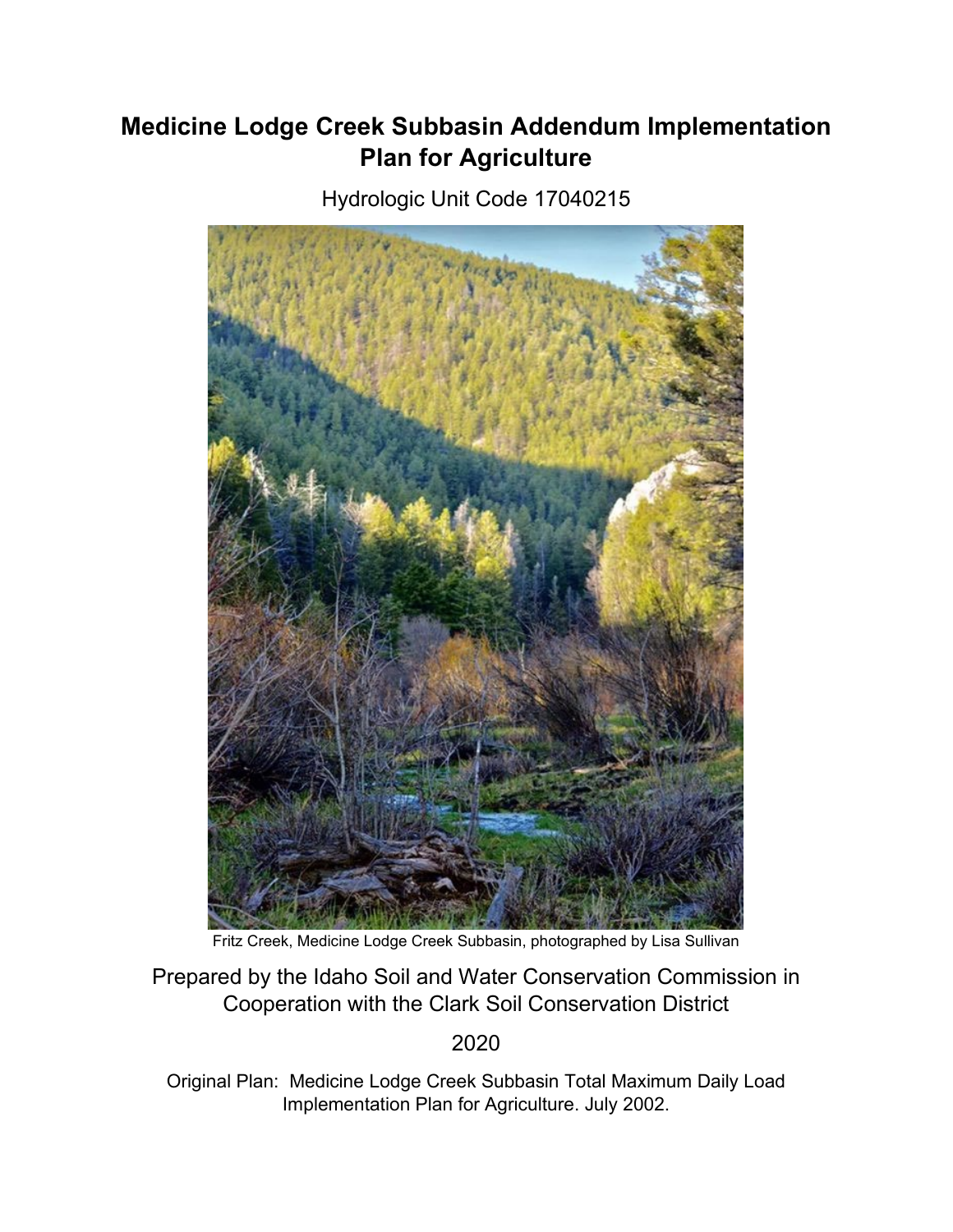# **Medicine Lodge Creek Subbasin Addendum Implementation Plan for Agriculture**

Hydrologic Unit Code 17040215



Fritz Creek, Medicine Lodge Creek Subbasin, photographed by Lisa Sullivan

Prepared by the Idaho Soil and Water Conservation Commission in Cooperation with the Clark Soil Conservation District

2020

Original Plan: Medicine Lodge Creek Subbasin Total Maximum Daily Load Implementation Plan for Agriculture. July 2002.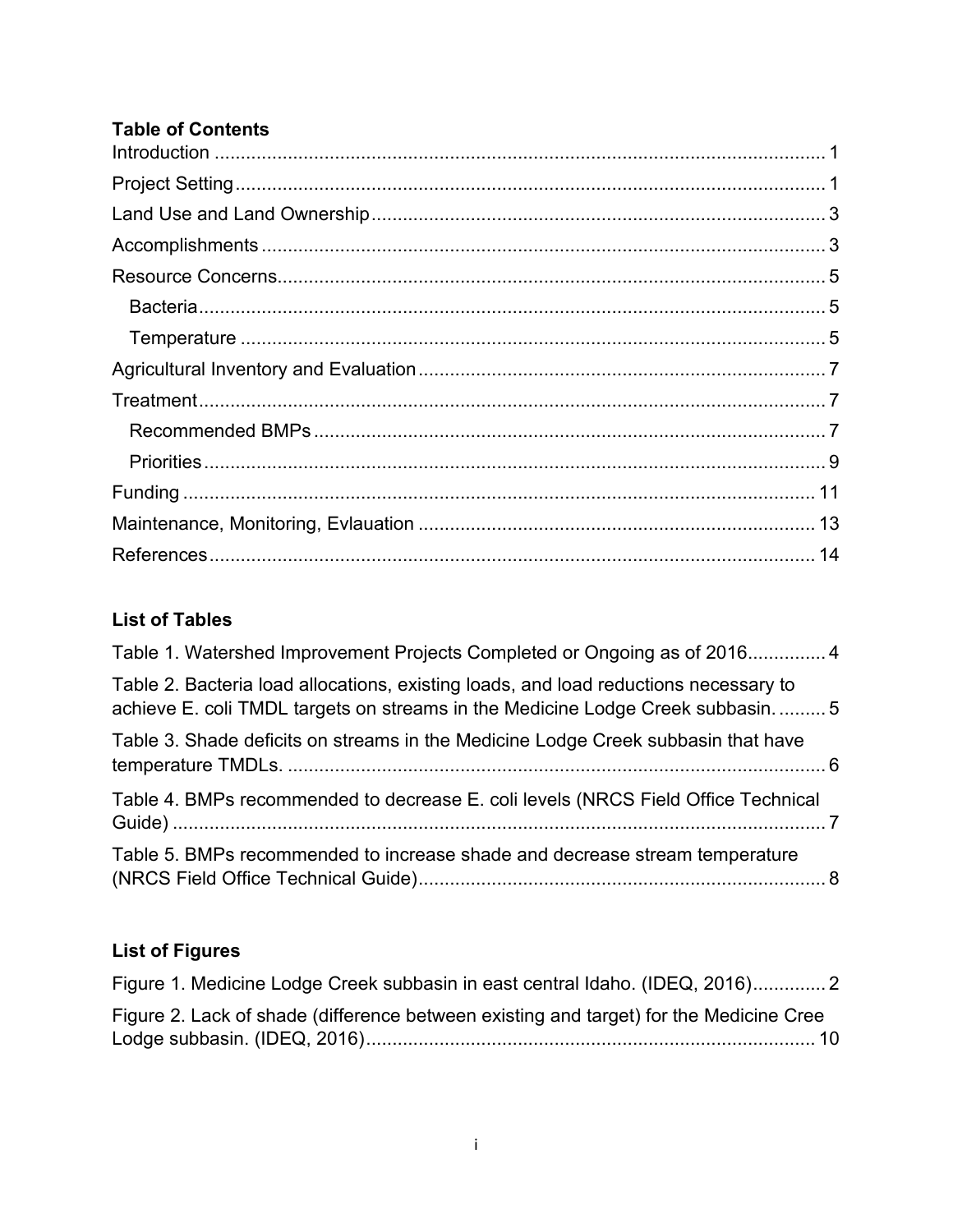#### **Table of Contents**

### **List of Tables**

| Table 1. Watershed Improvement Projects Completed or Ongoing as of 2016 4                                                                                                |  |
|--------------------------------------------------------------------------------------------------------------------------------------------------------------------------|--|
| Table 2. Bacteria load allocations, existing loads, and load reductions necessary to<br>achieve E. coli TMDL targets on streams in the Medicine Lodge Creek subbasin.  5 |  |
| Table 3. Shade deficits on streams in the Medicine Lodge Creek subbasin that have                                                                                        |  |
| Table 4. BMPs recommended to decrease E. coli levels (NRCS Field Office Technical                                                                                        |  |
| Table 5. BMPs recommended to increase shade and decrease stream temperature                                                                                              |  |

# **List of Figures**

| Figure 1. Medicine Lodge Creek subbasin in east central Idaho. (IDEQ, 2016)            |  |
|----------------------------------------------------------------------------------------|--|
| Figure 2. Lack of shade (difference between existing and target) for the Medicine Cree |  |
|                                                                                        |  |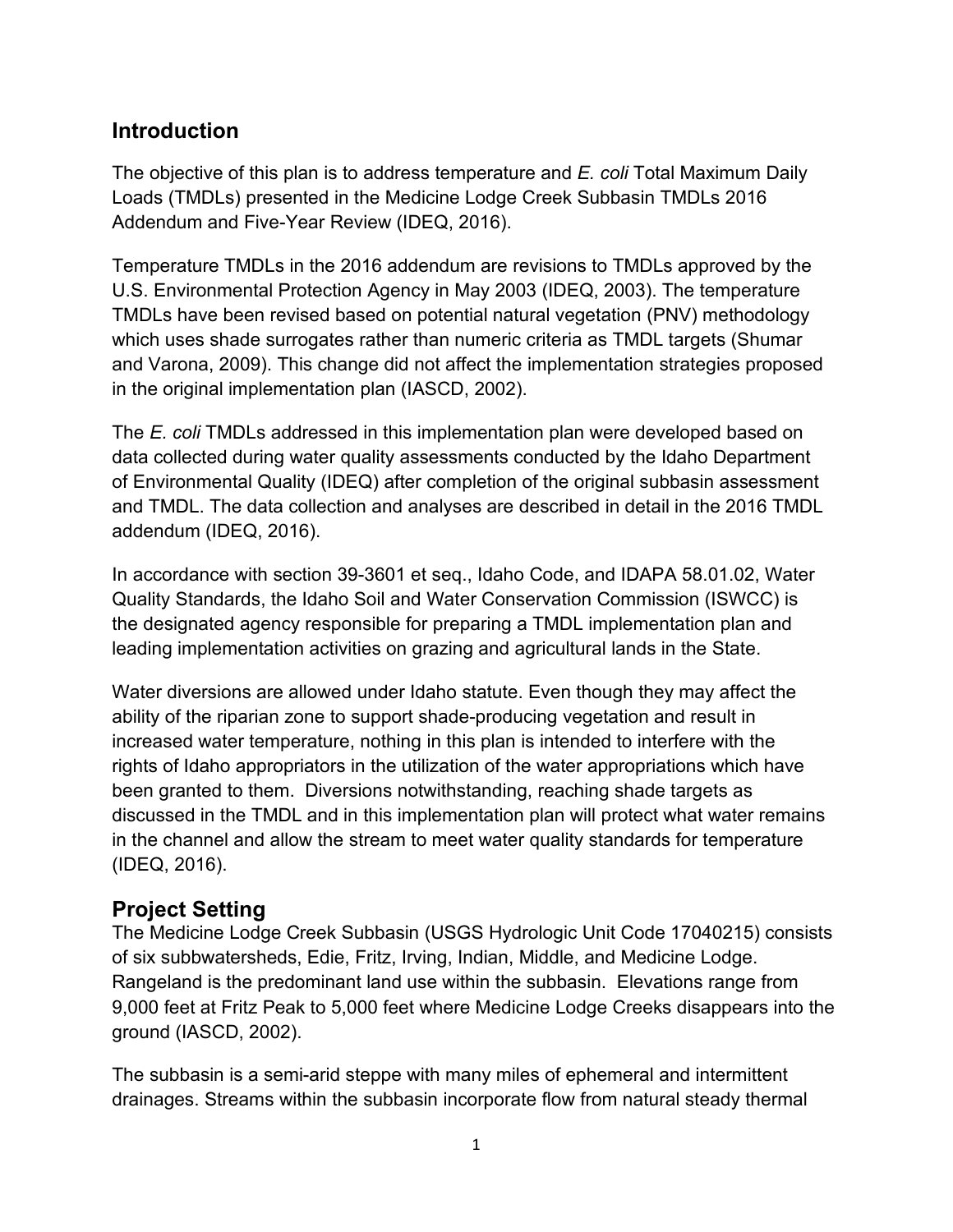### <span id="page-2-0"></span>**Introduction**

The objective of this plan is to address temperature and *E. coli* Total Maximum Daily Loads (TMDLs) presented in the Medicine Lodge Creek Subbasin TMDLs 2016 Addendum and Five-Year Review (IDEQ, 2016).

Temperature TMDLs in the 2016 addendum are revisions to TMDLs approved by the U.S. Environmental Protection Agency in May 2003 (IDEQ, 2003). The temperature TMDLs have been revised based on potential natural vegetation (PNV) methodology which uses shade surrogates rather than numeric criteria as TMDL targets (Shumar and Varona, 2009). This change did not affect the implementation strategies proposed in the original implementation plan (IASCD, 2002).

The *E. coli* TMDLs addressed in this implementation plan were developed based on data collected during water quality assessments conducted by the Idaho Department of Environmental Quality (IDEQ) after completion of the original subbasin assessment and TMDL. The data collection and analyses are described in detail in the 2016 TMDL addendum (IDEQ, 2016).

In accordance with section 39-3601 et seq., Idaho Code, and IDAPA 58.01.02, Water Quality Standards, the Idaho Soil and Water Conservation Commission (ISWCC) is the designated agency responsible for preparing a TMDL implementation plan and leading implementation activities on grazing and agricultural lands in the State.

Water diversions are allowed under Idaho statute. Even though they may affect the ability of the riparian zone to support shade-producing vegetation and result in increased water temperature, nothing in this plan is intended to interfere with the rights of Idaho appropriators in the utilization of the water appropriations which have been granted to them. Diversions notwithstanding, reaching shade targets as discussed in the TMDL and in this implementation plan will protect what water remains in the channel and allow the stream to meet water quality standards for temperature (IDEQ, 2016).

### <span id="page-2-1"></span>**Project Setting**

The Medicine Lodge Creek Subbasin (USGS Hydrologic Unit Code 17040215) consists of six subbwatersheds, Edie, Fritz, Irving, Indian, Middle, and Medicine Lodge. Rangeland is the predominant land use within the subbasin. Elevations range from 9,000 feet at Fritz Peak to 5,000 feet where Medicine Lodge Creeks disappears into the ground (IASCD, 2002).

The subbasin is a semi-arid steppe with many miles of ephemeral and intermittent drainages. Streams within the subbasin incorporate flow from natural steady thermal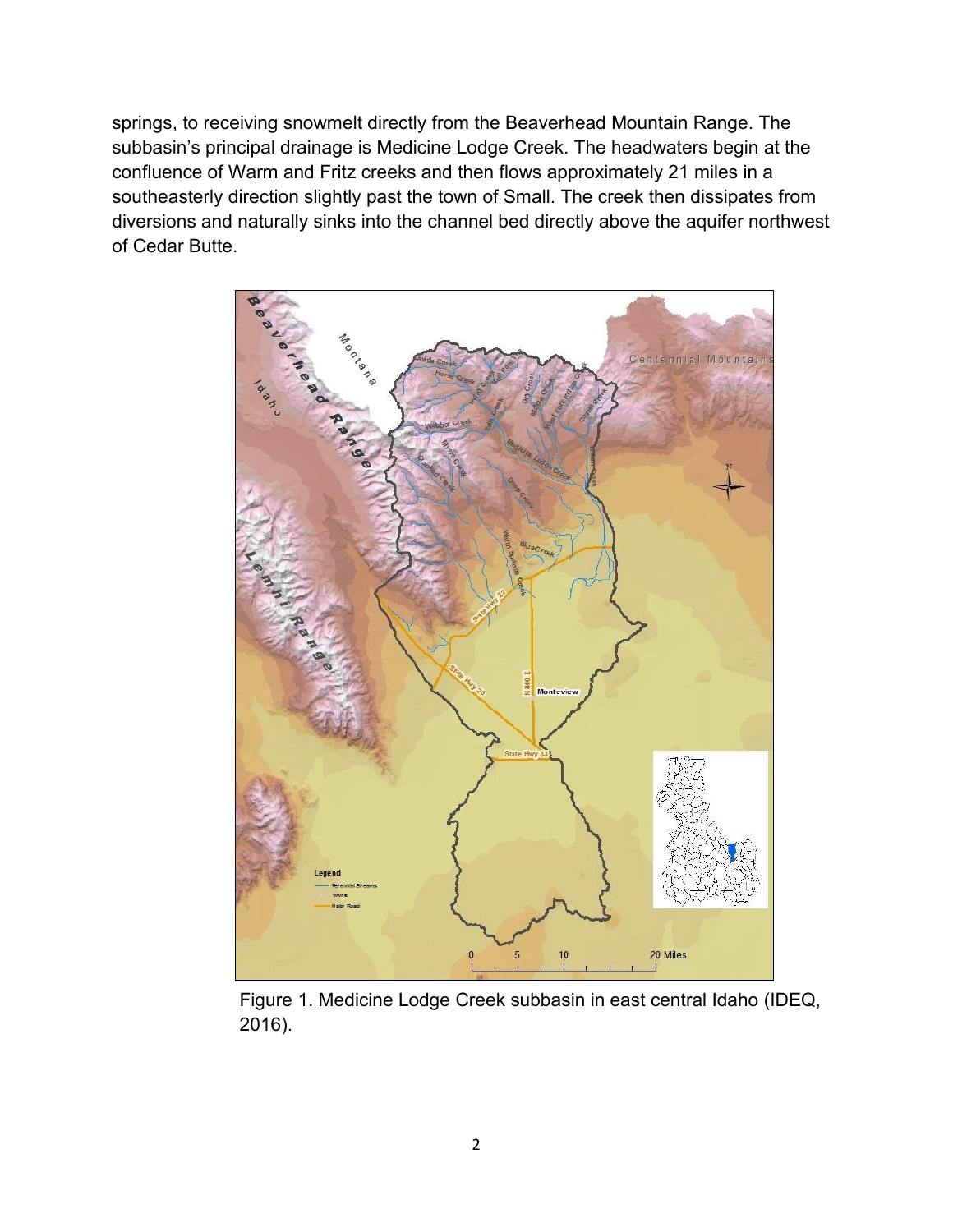springs, to receiving snowmelt directly from the Beaverhead Mountain Range. The subbasin's principal drainage is Medicine Lodge Creek. The headwaters begin at the confluence of Warm and Fritz creeks and then flows approximately 21 miles in a southeasterly direction slightly past the town of Small. The creek then dissipates from diversions and naturally sinks into the channel bed directly above the aquifer northwest of Cedar Butte.



Figure 1. Medicine Lodge Creek subbasin in east central Idaho (IDEQ, 2016).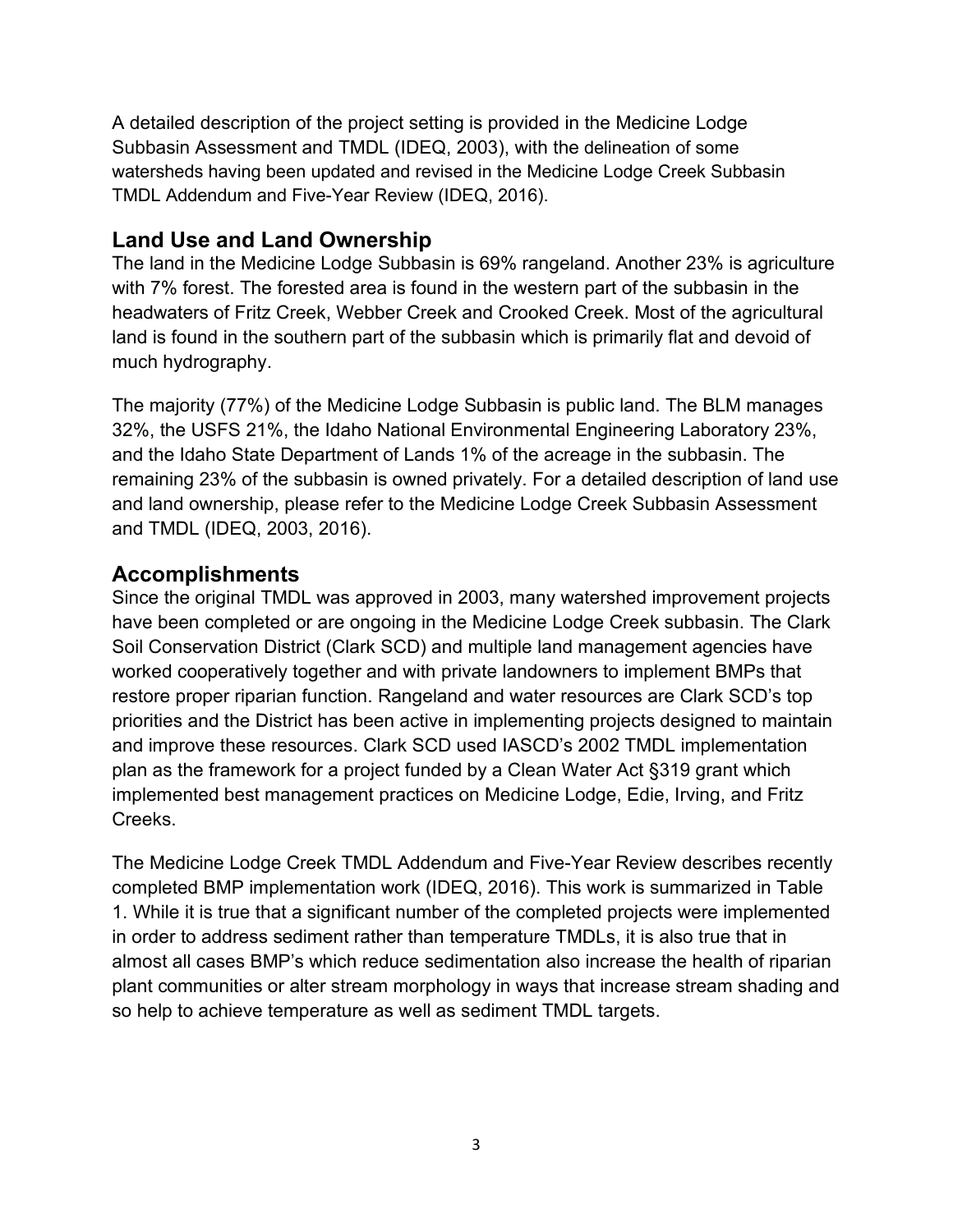A detailed description of the project setting is provided in the Medicine Lodge Subbasin Assessment and TMDL (IDEQ, 2003), with the delineation of some watersheds having been updated and revised in the Medicine Lodge Creek Subbasin TMDL Addendum and Five-Year Review (IDEQ, 2016).

#### <span id="page-4-0"></span>**Land Use and Land Ownership**

The land in the Medicine Lodge Subbasin is 69% rangeland. Another 23% is agriculture with 7% forest. The forested area is found in the western part of the subbasin in the headwaters of Fritz Creek, Webber Creek and Crooked Creek. Most of the agricultural land is found in the southern part of the subbasin which is primarily flat and devoid of much hydrography.

The majority (77%) of the Medicine Lodge Subbasin is public land. The BLM manages 32%, the USFS 21%, the Idaho National Environmental Engineering Laboratory 23%, and the Idaho State Department of Lands 1% of the acreage in the subbasin. The remaining 23% of the subbasin is owned privately. For a detailed description of land use and land ownership, please refer to the Medicine Lodge Creek Subbasin Assessment and TMDL (IDEQ, 2003, 2016).

### <span id="page-4-1"></span>**Accomplishments**

Since the original TMDL was approved in 2003, many watershed improvement projects have been completed or are ongoing in the Medicine Lodge Creek subbasin. The Clark Soil Conservation District (Clark SCD) and multiple land management agencies have worked cooperatively together and with private landowners to implement BMPs that restore proper riparian function. Rangeland and water resources are Clark SCD's top priorities and the District has been active in implementing projects designed to maintain and improve these resources. Clark SCD used IASCD's 2002 TMDL implementation plan as the framework for a project funded by a Clean Water Act §319 grant which implemented best management practices on Medicine Lodge, Edie, Irving, and Fritz Creeks.

The Medicine Lodge Creek TMDL Addendum and Five-Year Review describes recently completed BMP implementation work (IDEQ, 2016). This work is summarized in Table 1. While it is true that a significant number of the completed projects were implemented in order to address sediment rather than temperature TMDLs, it is also true that in almost all cases BMP's which reduce sedimentation also increase the health of riparian plant communities or alter stream morphology in ways that increase stream shading and so help to achieve temperature as well as sediment TMDL targets.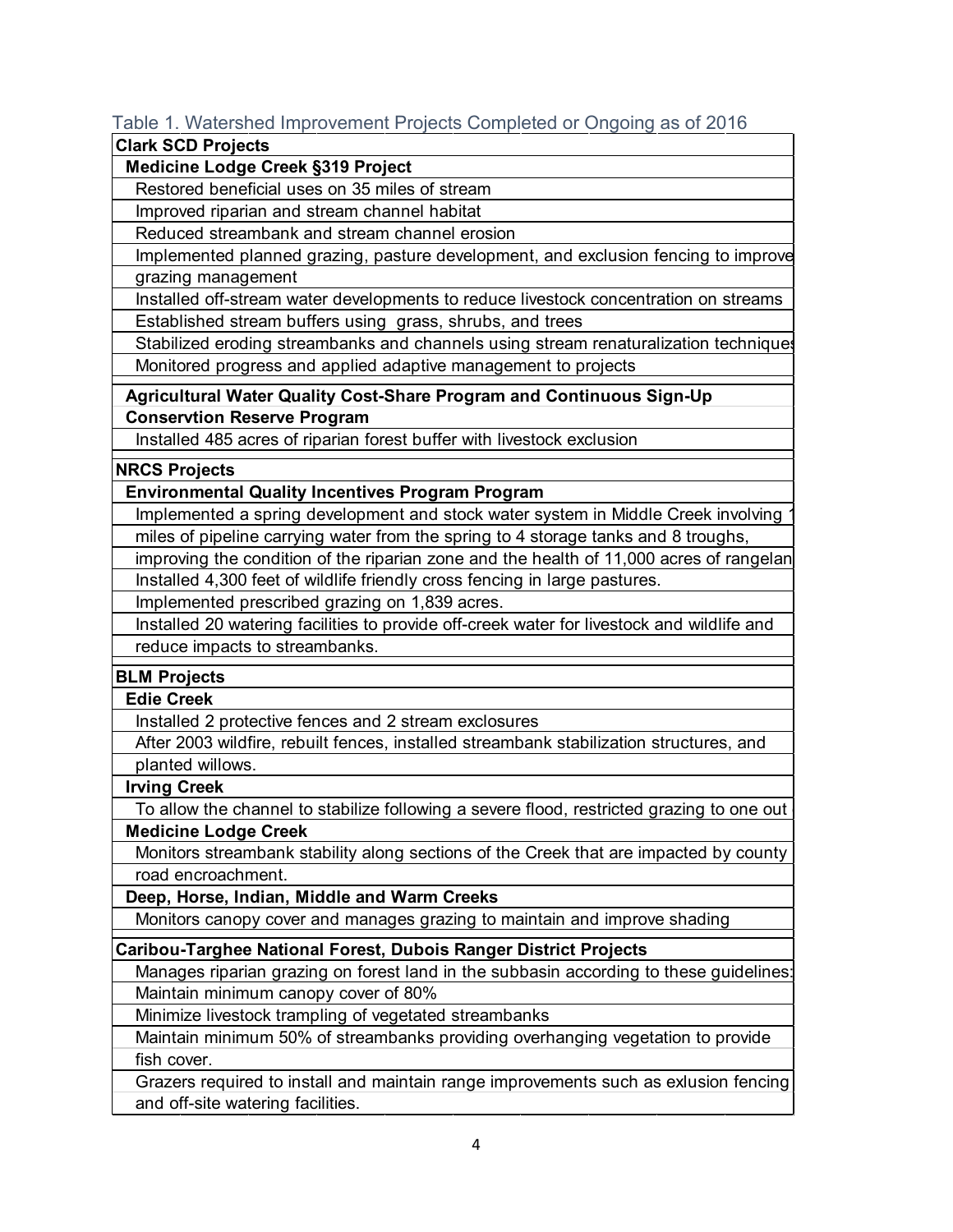#### Table 1. Watershed Improvement Projects Completed or Ongoing as of 2016

#### **Clark SCD Projects**

 **Medicine Lodge Creek §319 Project**

Restored beneficial uses on 35 miles of stream

Improved riparian and stream channel habitat

Reduced streambank and stream channel erosion

 grazing management Implemented planned grazing, pasture development, and exclusion fencing to improve

 Installed off-stream water developments to reduce livestock concentration on streams Established stream buffers using grass, shrubs, and trees

Stabilized eroding streambanks and channels using stream renaturalization techniques Monitored progress and applied adaptive management to projects

 **Conservtion Reserve Program Agricultural Water Quality Cost-Share Program and Continuous Sign-Up**

Installed 485 acres of riparian forest buffer with livestock exclusion

#### **NRCS Projects**

 **Environmental Quality Incentives Program Program**

 Implemented a spring development and stock water system in Middle Creek involving 1 miles of pipeline carrying water from the spring to 4 storage tanks and 8 troughs,

improving the condition of the riparian zone and the health of 11,000 acres of rangelan Installed 4,300 feet of wildlife friendly cross fencing in large pastures.

Implemented prescribed grazing on 1,839 acres.

 Installed 20 watering facilities to provide off-creek water for livestock and wildlife and reduce impacts to streambanks.

#### **BLM Projects**

 **Edie Creek**

Installed 2 protective fences and 2 stream exclosures

 After 2003 wildfire, rebuilt fences, installed streambank stabilization structures, and planted willows.

 **Irving Creek**

To allow the channel to stabilize following a severe flood, restricted grazing to one out  **Medicine Lodge Creek**

 Monitors streambank stability along sections of the Creek that are impacted by county road encroachment.

 **Deep, Horse, Indian, Middle and Warm Creeks**

Monitors canopy cover and manages grazing to maintain and improve shading

**Caribou-Targhee National Forest, Dubois Ranger District Projects**

 Manages riparian grazing on forest land in the subbasin according to these guidelines: Maintain minimum canopy cover of 80%

Minimize livestock trampling of vegetated streambanks

 fish cover. Maintain minimum 50% of streambanks providing overhanging vegetation to provide

 and off-site watering facilities. Grazers required to install and maintain range improvements such as exlusion fencing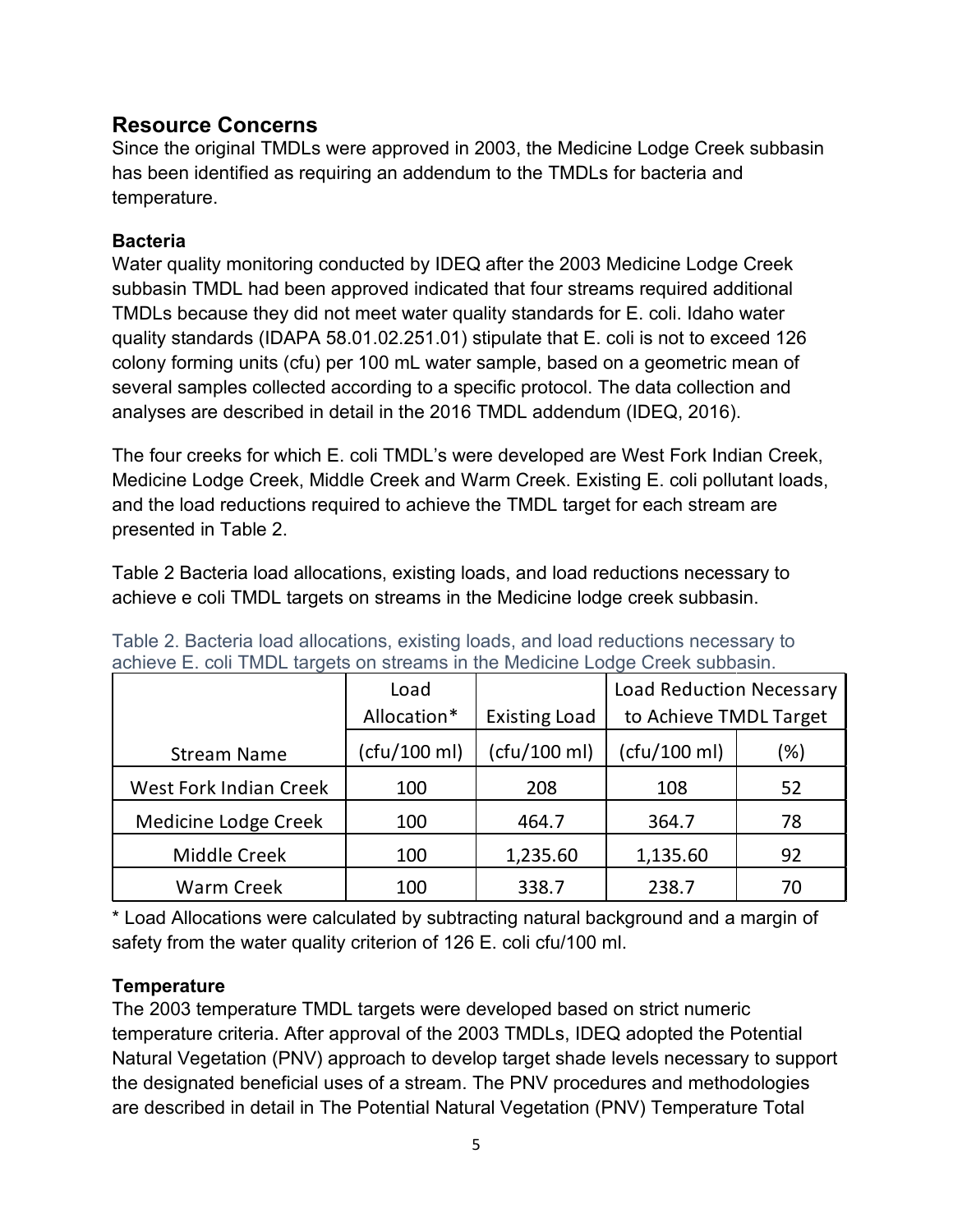### <span id="page-6-0"></span>**Resource Concerns**

Since the original TMDLs were approved in 2003, the Medicine Lodge Creek subbasin has been identified as requiring an addendum to the TMDLs for bacteria and temperature.

#### <span id="page-6-1"></span>**Bacteria**

Water quality monitoring conducted by IDEQ after the 2003 Medicine Lodge Creek subbasin TMDL had been approved indicated that four streams required additional TMDLs because they did not meet water quality standards for E. coli. Idaho water quality standards (IDAPA 58.01.02.251.01) stipulate that E. coli is not to exceed 126 colony forming units (cfu) per 100 mL water sample, based on a geometric mean of several samples collected according to a specific protocol. The data collection and analyses are described in detail in the 2016 TMDL addendum (IDEQ, 2016).

The four creeks for which E. coli TMDL's were developed are West Fork Indian Creek, Medicine Lodge Creek, Middle Creek and Warm Creek. Existing E. coli pollutant loads, and the load reductions required to achieve the TMDL target for each stream are presented in Table 2.

Table 2 Bacteria load allocations, existing loads, and load reductions necessary to achieve e coli TMDL targets on streams in the Medicine lodge creek subbasin.

|                               | Load         |                      | <b>Load Reduction Necessary</b> |     |  |
|-------------------------------|--------------|----------------------|---------------------------------|-----|--|
|                               | Allocation*  | <b>Existing Load</b> | to Achieve TMDL Target          |     |  |
| <b>Stream Name</b>            | (cfu/100 ml) | (cfu/100 ml)         | (cfu/100 ml)                    | (%) |  |
| <b>West Fork Indian Creek</b> | 100          | 208                  | 108                             | 52  |  |
| Medicine Lodge Creek          | 100          | 464.7                | 364.7                           | 78  |  |
| Middle Creek                  | 100          | 1,235.60             | 1,135.60                        | 92  |  |
| <b>Warm Creek</b>             | 100          | 338.7                | 238.7                           | 70  |  |

Table 2. Bacteria load allocations, existing loads, and load reductions necessary to achieve E. coli TMDL targets on streams in the Medicine Lodge Creek subbasin.

\* Load Allocations were calculated by subtracting natural background and a margin of safety from the water quality criterion of 126 E. coli cfu/100 ml.

### <span id="page-6-2"></span>**Temperature**

The 2003 temperature TMDL targets were developed based on strict numeric temperature criteria. After approval of the 2003 TMDLs, IDEQ adopted the Potential Natural Vegetation (PNV) approach to develop target shade levels necessary to support the designated beneficial uses of a stream. The PNV procedures and methodologies are described in detail in The Potential Natural Vegetation (PNV) Temperature Total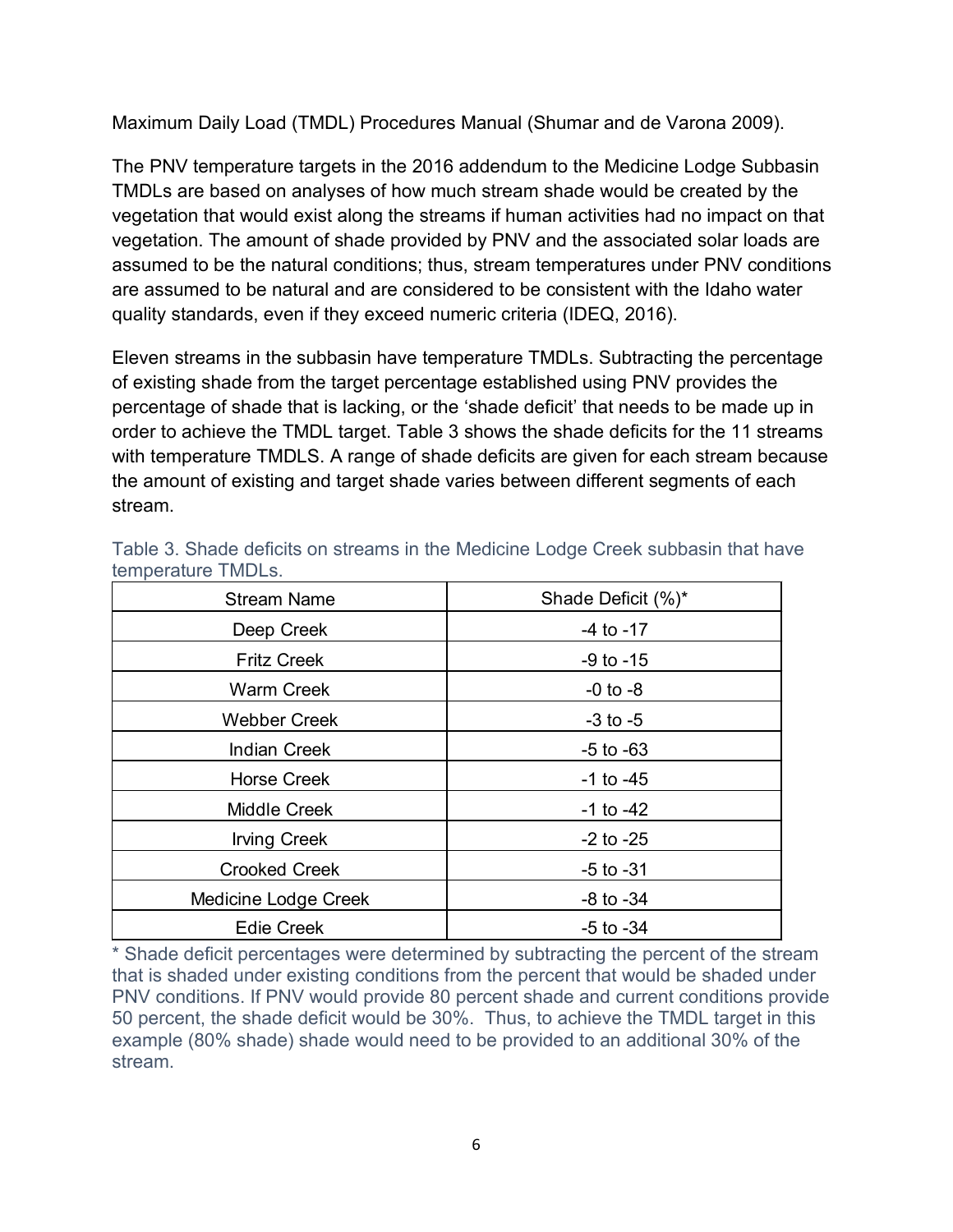Maximum Daily Load (TMDL) Procedures Manual (Shumar and de Varona 2009).

The PNV temperature targets in the 2016 addendum to the Medicine Lodge Subbasin TMDLs are based on analyses of how much stream shade would be created by the vegetation that would exist along the streams if human activities had no impact on that vegetation. The amount of shade provided by PNV and the associated solar loads are assumed to be the natural conditions; thus, stream temperatures under PNV conditions are assumed to be natural and are considered to be consistent with the Idaho water quality standards, even if they exceed numeric criteria (IDEQ, 2016).

Eleven streams in the subbasin have temperature TMDLs. Subtracting the percentage of existing shade from the target percentage established using PNV provides the percentage of shade that is lacking, or the 'shade deficit' that needs to be made up in order to achieve the TMDL target. Table 3 shows the shade deficits for the 11 streams with temperature TMDLS. A range of shade deficits are given for each stream because the amount of existing and target shade varies between different segments of each stream.

| <b>Stream Name</b>   | Shade Deficit (%)* |
|----------------------|--------------------|
| Deep Creek           | $-4$ to $-17$      |
| <b>Fritz Creek</b>   | $-9$ to $-15$      |
| <b>Warm Creek</b>    | $-0$ to $-8$       |
| <b>Webber Creek</b>  | $-3$ to $-5$       |
| <b>Indian Creek</b>  | $-5$ to $-63$      |
| <b>Horse Creek</b>   | $-1$ to $-45$      |
| <b>Middle Creek</b>  | $-1$ to $-42$      |
| <b>Irving Creek</b>  | $-2$ to $-25$      |
| <b>Crooked Creek</b> | $-5$ to $-31$      |
| Medicine Lodge Creek | $-8$ to $-34$      |
| <b>Edie Creek</b>    | $-5$ to $-34$      |

Table 3. Shade deficits on streams in the Medicine Lodge Creek subbasin that have temperature TMDLs.

\* Shade deficit percentages were determined by subtracting the percent of the stream that is shaded under existing conditions from the percent that would be shaded under PNV conditions. If PNV would provide 80 percent shade and current conditions provide 50 percent, the shade deficit would be 30%. Thus, to achieve the TMDL target in this example (80% shade) shade would need to be provided to an additional 30% of the stream.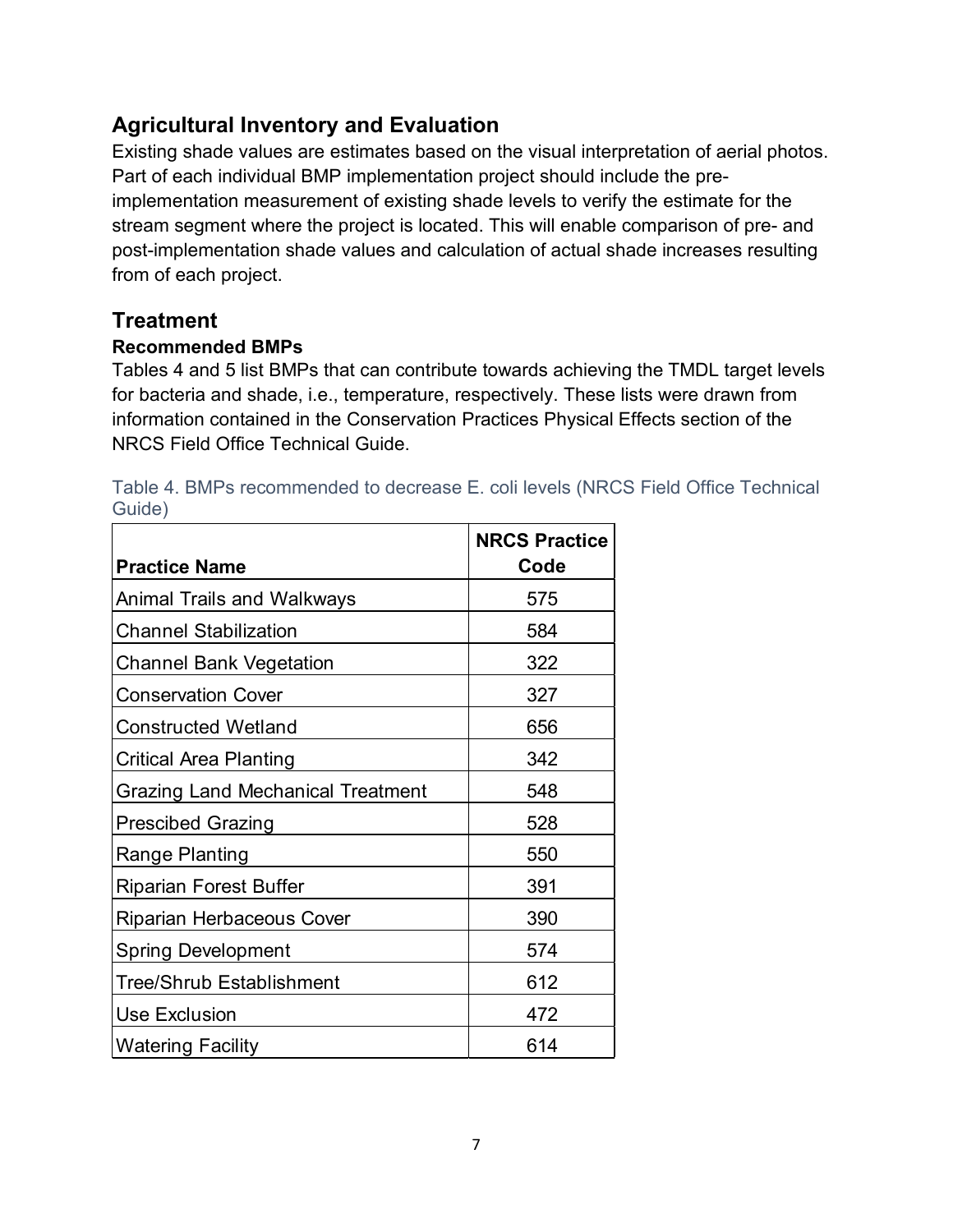## <span id="page-8-0"></span>**Agricultural Inventory and Evaluation**

Existing shade values are estimates based on the visual interpretation of aerial photos. Part of each individual BMP implementation project should include the preimplementation measurement of existing shade levels to verify the estimate for the stream segment where the project is located. This will enable comparison of pre- and post-implementation shade values and calculation of actual shade increases resulting from of each project.

## <span id="page-8-1"></span>**Treatment**

#### <span id="page-8-2"></span>**Recommended BMPs**

Tables 4 and 5 list BMPs that can contribute towards achieving the TMDL target levels for bacteria and shade, i.e., temperature, respectively. These lists were drawn from information contained in the Conservation Practices Physical Effects section of the NRCS Field Office Technical Guide.

| <b>Practice Name</b>                     | <b>NRCS Practice</b><br>Code |
|------------------------------------------|------------------------------|
| Animal Trails and Walkways               | 575                          |
| <b>Channel Stabilization</b>             | 584                          |
| <b>Channel Bank Vegetation</b>           | 322                          |
| <b>Conservation Cover</b>                | 327                          |
| <b>Constructed Wetland</b>               | 656                          |
| Critical Area Planting                   | 342                          |
| <b>Grazing Land Mechanical Treatment</b> | 548                          |
| <b>Prescibed Grazing</b>                 | 528                          |
| Range Planting                           | 550                          |
| <b>Riparian Forest Buffer</b>            | 391                          |
| <b>Riparian Herbaceous Cover</b>         | 390                          |
| <b>Spring Development</b>                | 574                          |
| Tree/Shrub Establishment                 | 612                          |
| <b>Use Exclusion</b>                     | 472                          |
| <b>Watering Facility</b>                 | 614                          |

|        |  | Table 4. BMPs recommended to decrease E. coli levels (NRCS Field Office Technical |  |  |  |  |
|--------|--|-----------------------------------------------------------------------------------|--|--|--|--|
| Guide) |  |                                                                                   |  |  |  |  |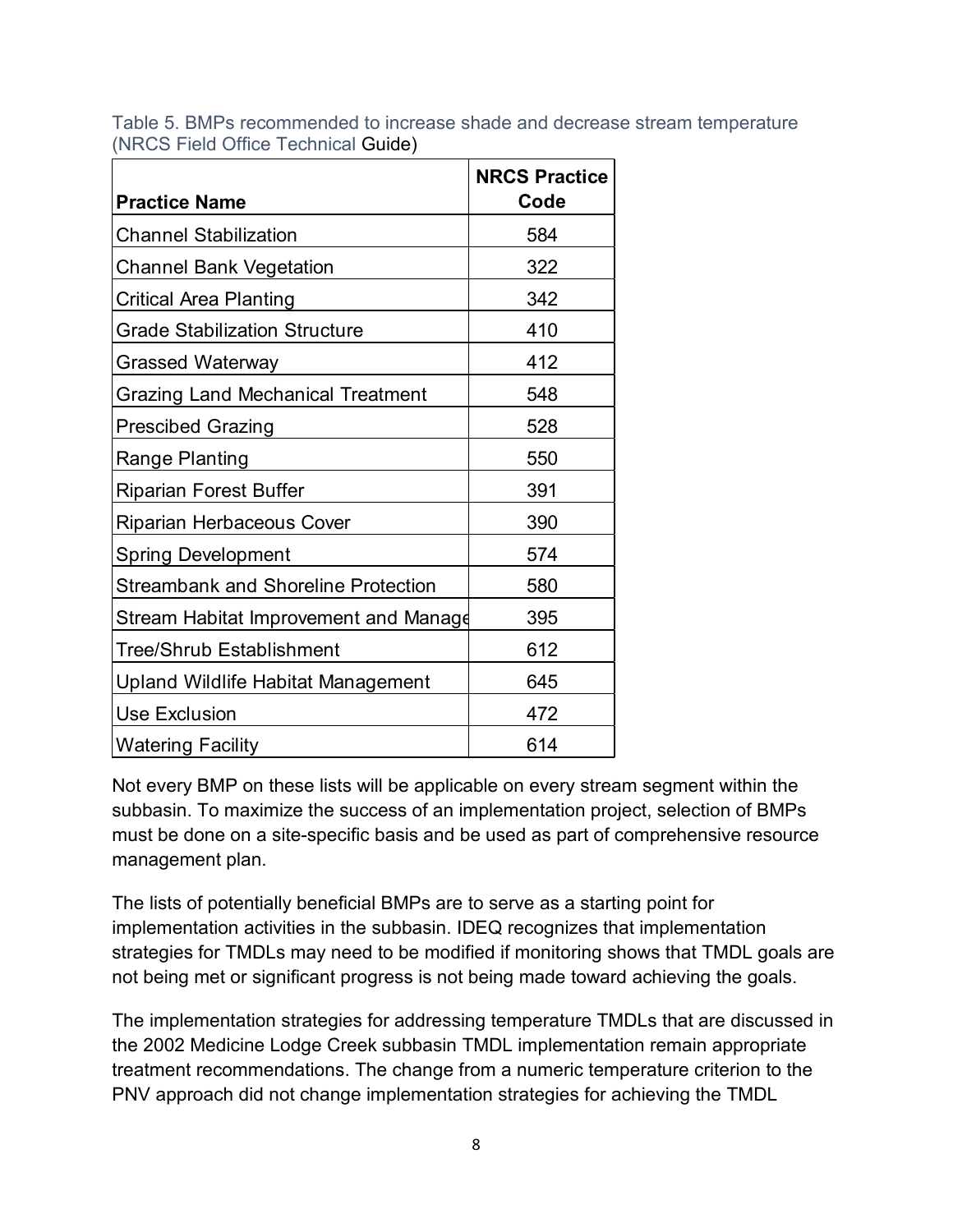|  |  |                                     |  |  | Table 5. BMPs recommended to increase shade and decrease stream temperature |  |  |
|--|--|-------------------------------------|--|--|-----------------------------------------------------------------------------|--|--|
|  |  | (NRCS Field Office Technical Guide) |  |  |                                                                             |  |  |

| <b>Practice Name</b>                       | <b>NRCS Practice</b><br>Code |
|--------------------------------------------|------------------------------|
| <b>Channel Stabilization</b>               | 584                          |
| Channel Bank Vegetation                    | 322                          |
| Critical Area Planting                     | 342                          |
| <b>Grade Stabilization Structure</b>       | 410                          |
| <b>Grassed Waterway</b>                    | 412                          |
| <b>Grazing Land Mechanical Treatment</b>   | 548                          |
| <b>Prescibed Grazing</b>                   | 528                          |
| Range Planting                             | 550                          |
| <b>Riparian Forest Buffer</b>              | 391                          |
| Riparian Herbaceous Cover                  | 390                          |
| <b>Spring Development</b>                  | 574                          |
| <b>Streambank and Shoreline Protection</b> | 580                          |
| Stream Habitat Improvement and Manage      | 395                          |
| Tree/Shrub Establishment                   | 612                          |
| Upland Wildlife Habitat Management         | 645                          |
| <b>Use Exclusion</b>                       | 472                          |
| <b>Watering Facility</b>                   | 614                          |

Not every BMP on these lists will be applicable on every stream segment within the subbasin. To maximize the success of an implementation project, selection of BMPs must be done on a site-specific basis and be used as part of comprehensive resource management plan.

The lists of potentially beneficial BMPs are to serve as a starting point for implementation activities in the subbasin. IDEQ recognizes that implementation strategies for TMDLs may need to be modified if monitoring shows that TMDL goals are not being met or significant progress is not being made toward achieving the goals.

The implementation strategies for addressing temperature TMDLs that are discussed in the 2002 Medicine Lodge Creek subbasin TMDL implementation remain appropriate treatment recommendations. The change from a numeric temperature criterion to the PNV approach did not change implementation strategies for achieving the TMDL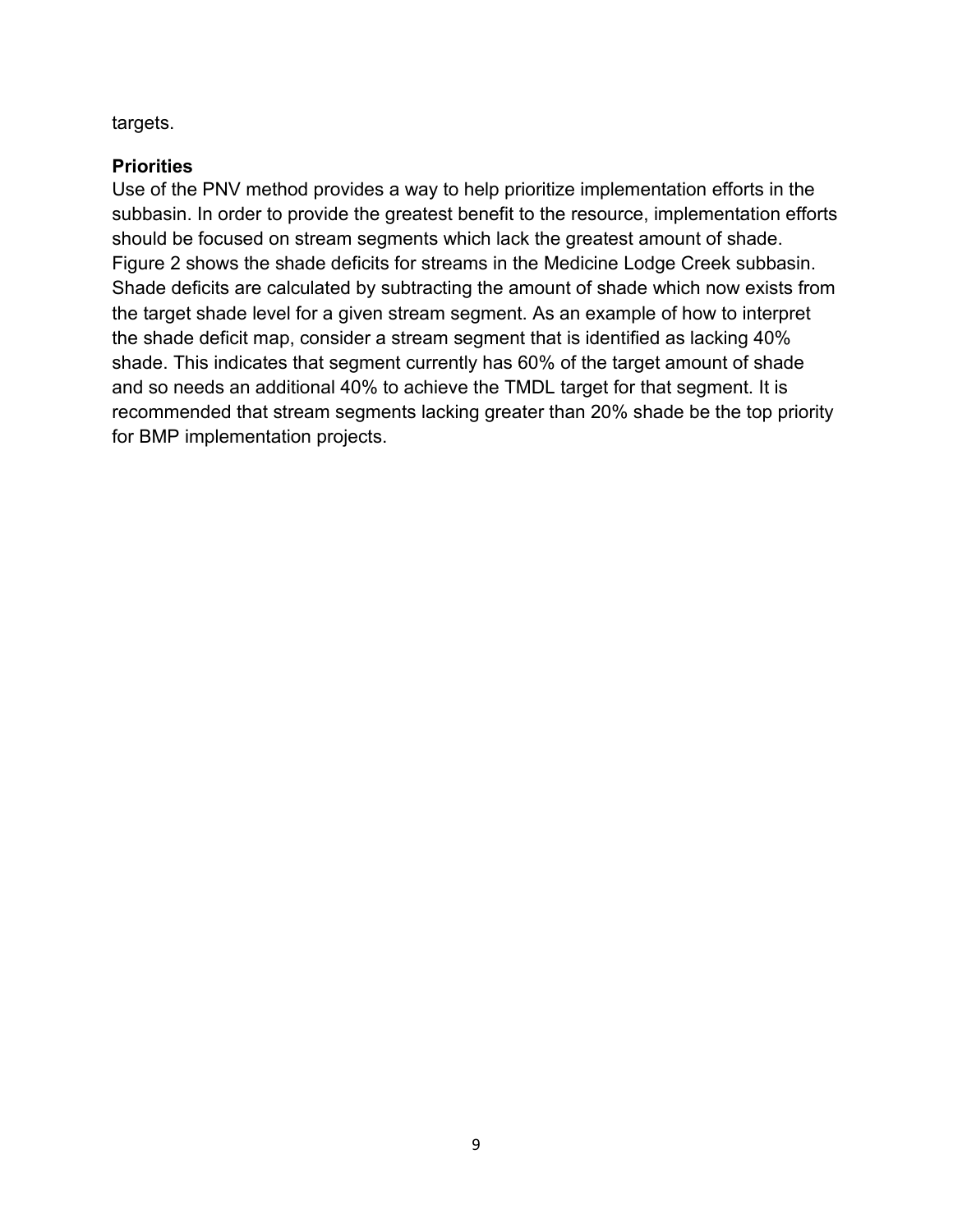targets.

#### <span id="page-10-0"></span>**Priorities**

Use of the PNV method provides a way to help prioritize implementation efforts in the subbasin. In order to provide the greatest benefit to the resource, implementation efforts should be focused on stream segments which lack the greatest amount of shade. Figure 2 shows the shade deficits for streams in the Medicine Lodge Creek subbasin. Shade deficits are calculated by subtracting the amount of shade which now exists from the target shade level for a given stream segment. As an example of how to interpret the shade deficit map, consider a stream segment that is identified as lacking 40% shade. This indicates that segment currently has 60% of the target amount of shade and so needs an additional 40% to achieve the TMDL target for that segment. It is recommended that stream segments lacking greater than 20% shade be the top priority for BMP implementation projects.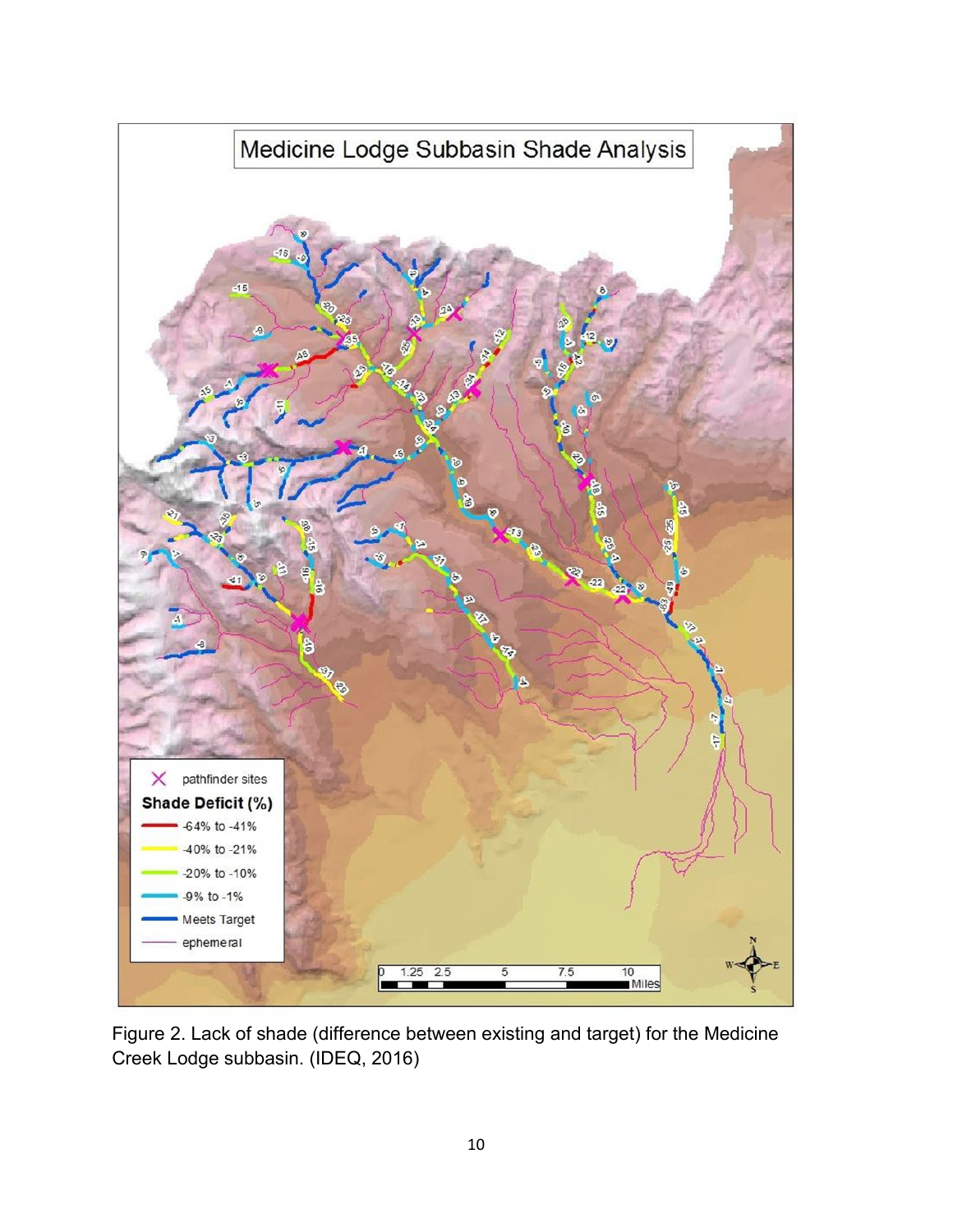

Figure 2. Lack of shade (difference between existing and target) for the Medicine Creek Lodge subbasin. (IDEQ, 2016)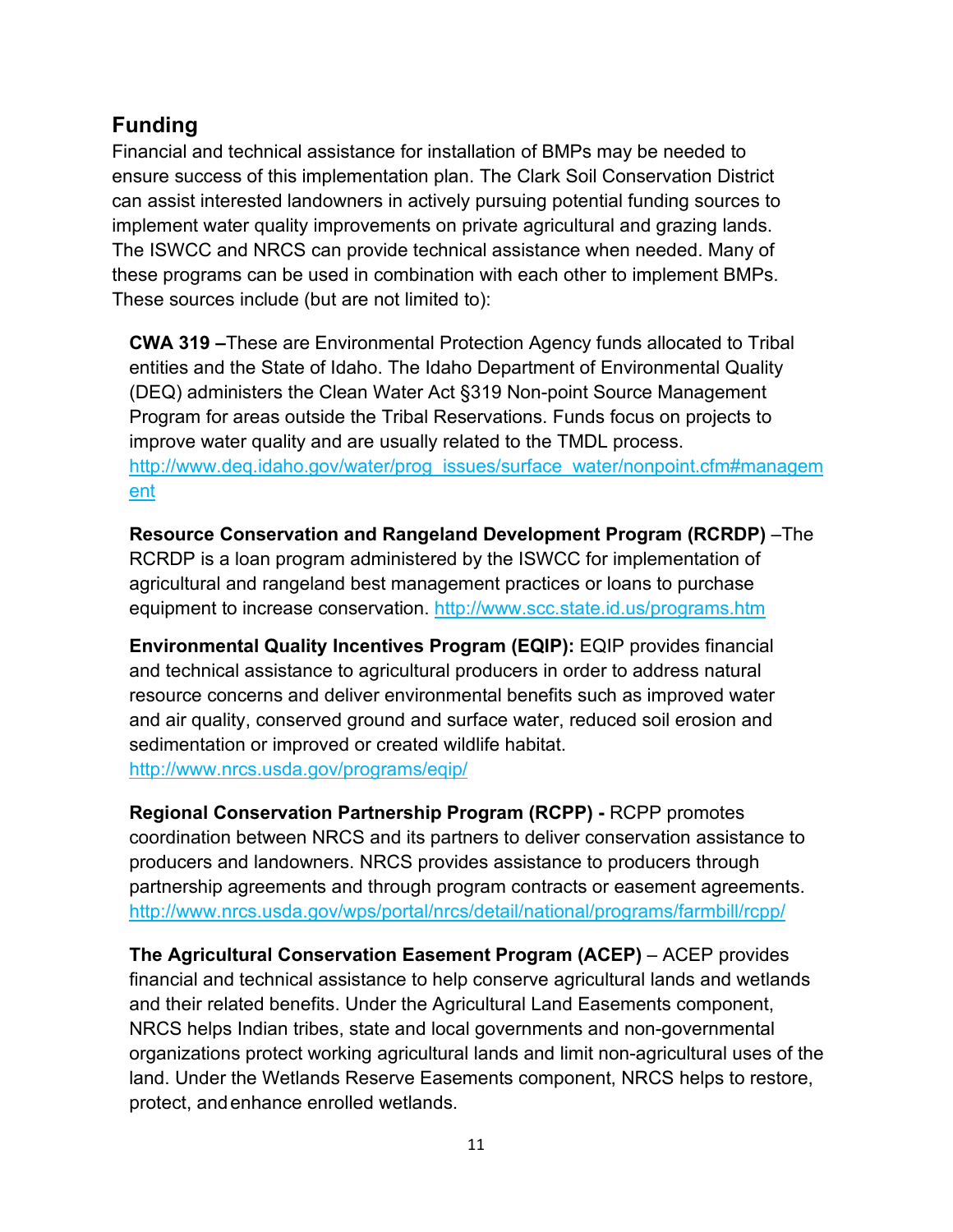## <span id="page-12-0"></span>**Funding**

Financial and technical assistance for installation of BMPs may be needed to ensure success of this implementation plan. The Clark Soil Conservation District can assist interested landowners in actively pursuing potential funding sources to implement water quality improvements on private agricultural and grazing lands. The ISWCC and NRCS can provide technical assistance when needed. Many of these programs can be used in combination with each other to implement BMPs. These sources include (but are not limited to):

**CWA 319 –**These are Environmental Protection Agency funds allocated to Tribal entities and the State of Idaho. The Idaho Department of Environmental Quality (DEQ) administers the Clean Water Act §319 Non-point Source Management Program for areas outside the Tribal Reservations. Funds focus on projects to improve water quality and are usually related to the TMDL process. http://www.deg.idaho.gov/water/prog\_issues/surface\_water/nonpoint.cfm#managem [ent](http://www.deq.idaho.gov/water/prog_issues/surface_water/nonpoint.cfm#management)

**Resource Conservation and Rangeland Development Program (RCRDP)** –The RCRDP is a loan program administered by the ISWCC for implementation of agricultural and rangeland best management practices or loans to purchase equipment to increase conservation.<http://www.scc.state.id.us/programs.htm>

**Environmental Quality Incentives Program (EQIP):** EQIP provides financial and technical assistance to agricultural producers in order to address natural resource concerns and deliver environmental benefits such as improved water and air quality, conserved ground and surface water, reduced soil erosion and sedimentation or improved or created wildlife habitat. <http://www.nrcs.usda.gov/programs/eqip/>

**Regional Conservation Partnership Program (RCPP) -** RCPP promotes coordination between NRCS and its partners to deliver conservation assistance to producers and landowners. NRCS provides assistance to producers through partnership agreements and through program contracts or easement agreements. <http://www.nrcs.usda.gov/wps/portal/nrcs/detail/national/programs/farmbill/rcpp/>

**The Agricultural Conservation Easement Program (ACEP)** – ACEP provides financial and technical assistance to help conserve agricultural lands and wetlands and their related benefits. Under the Agricultural Land Easements component, NRCS helps Indian tribes, state and local governments and non-governmental organizations protect working agricultural lands and limit non-agricultural uses of the land. Under the Wetlands Reserve Easements component, NRCS helps to restore, protect, andenhance enrolled wetlands.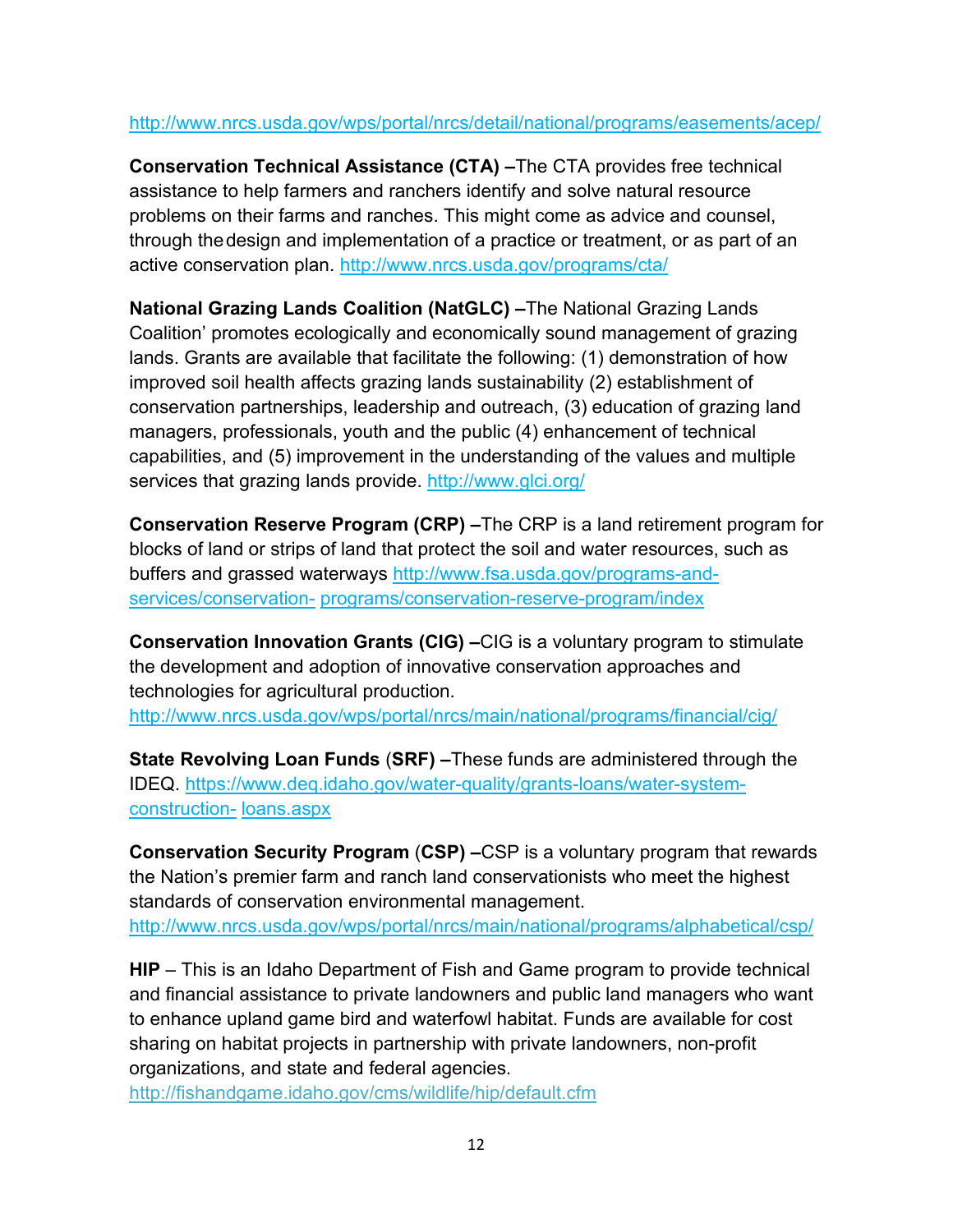#### <http://www.nrcs.usda.gov/wps/portal/nrcs/detail/national/programs/easements/acep/>

**Conservation Technical Assistance (CTA) –**The CTA provides free technical assistance to help farmers and ranchers identify and solve natural resource problems on their farms and ranches. This might come as advice and counsel, through thedesign and implementation of a practice or treatment, or as part of an active conservation plan.<http://www.nrcs.usda.gov/programs/cta/>

**National Grazing Lands Coalition (NatGLC) –**The National Grazing Lands Coalition' promotes ecologically and economically sound management of grazing lands. Grants are available that facilitate the following: (1) demonstration of how improved soil health affects grazing lands sustainability (2) establishment of conservation partnerships, leadership and outreach, (3) education of grazing land managers, professionals, youth and the public (4) enhancement of technical capabilities, and (5) improvement in the understanding of the values and multiple services that grazing lands provide.<http://www.glci.org/>

**Conservation Reserve Program (CRP) –**The CRP is a land retirement program for blocks of land or strips of land that protect the soil and water resources, such as buffers and grassed waterways [http://www.fsa.usda.gov/programs-and](http://www.fsa.usda.gov/programs-and-services/conservation-)[services/conservation-](http://www.fsa.usda.gov/programs-and-services/conservation-) programs/conservation-reserve-program/index

**Conservation Innovation Grants (CIG) –**CIG is a voluntary program to stimulate the development and adoption of innovative conservation approaches and technologies for agricultural production.

<http://www.nrcs.usda.gov/wps/portal/nrcs/main/national/programs/financial/cig/>

**State Revolving Loan Funds** (**SRF) –**These funds are administered through the IDEQ. https:/[/www.deq.idaho.gov/water-quality/grants-loans/water-system](http://www.deq.idaho.gov/water-quality/grants-loans/water-system-construction-)[construction-](http://www.deq.idaho.gov/water-quality/grants-loans/water-system-construction-) loans.aspx

**Conservation Security Program** (**CSP) –**CSP is a voluntary program that rewards the Nation's premier farm and ranch land conservationists who meet the highest standards of conservation environmental management. <http://www.nrcs.usda.gov/wps/portal/nrcs/main/national/programs/alphabetical/csp/>

**HIP** – This is an Idaho Department of Fish and Game program to provide technical and financial assistance to private landowners and public land managers who want to enhance upland game bird and waterfowl habitat. Funds are available for cost sharing on habitat projects in partnership with private landowners, non-profit organizations, and state and federal agencies.

<http://fishandgame.idaho.gov/cms/wildlife/hip/default.cfm>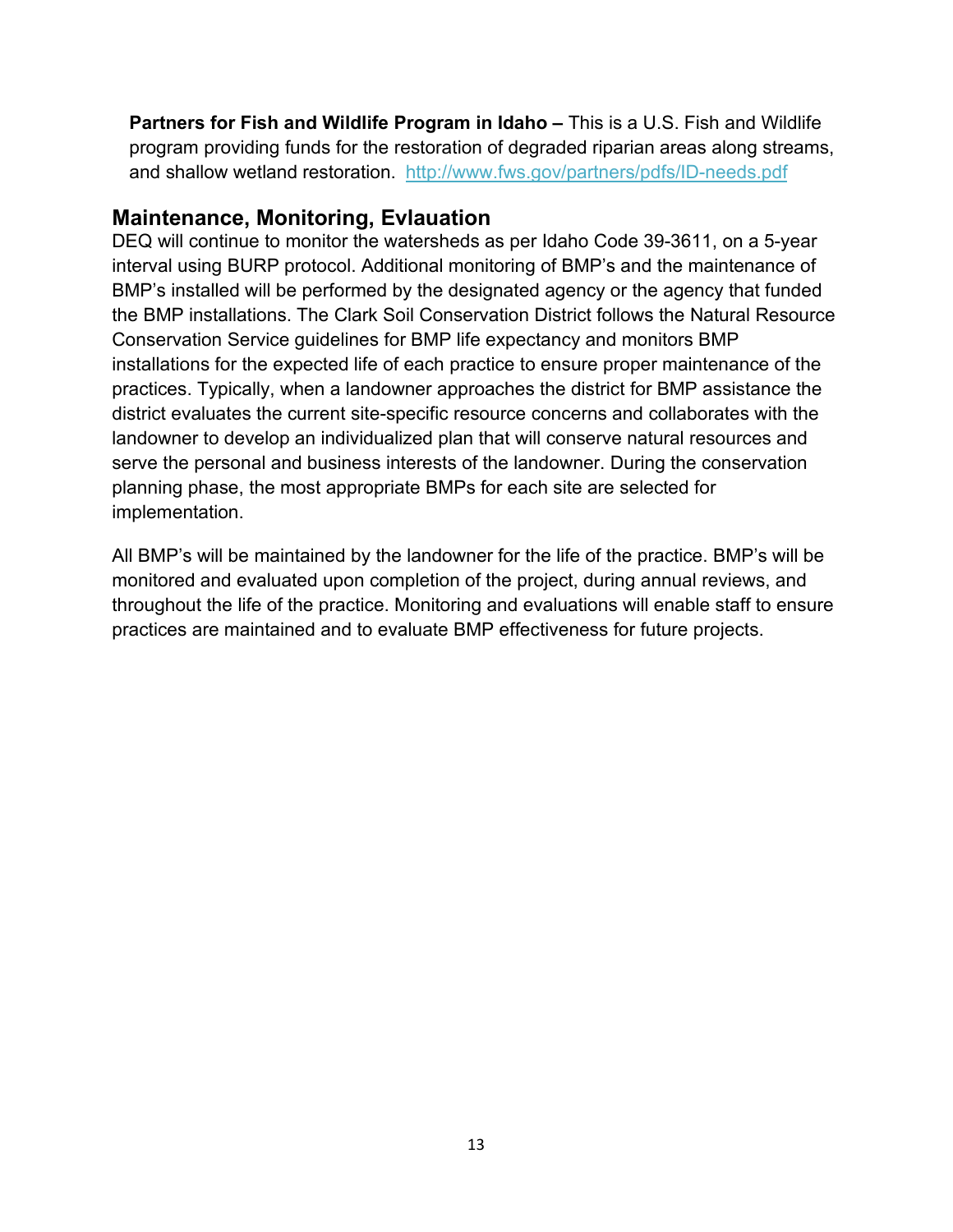**Partners for Fish and Wildlife Program in Idaho –** This is a U.S. Fish and Wildlife program providing funds for the restoration of degraded riparian areas along streams, and shallow wetland restoration. <http://www.fws.gov/partners/pdfs/ID-needs.pdf>

#### <span id="page-14-0"></span>**Maintenance, Monitoring, Evlauation**

DEQ will continue to monitor the watersheds as per Idaho Code 39-3611, on a 5-year interval using BURP protocol. Additional monitoring of BMP's and the maintenance of BMP's installed will be performed by the designated agency or the agency that funded the BMP installations. The Clark Soil Conservation District follows the Natural Resource Conservation Service guidelines for BMP life expectancy and monitors BMP installations for the expected life of each practice to ensure proper maintenance of the practices. Typically, when a landowner approaches the district for BMP assistance the district evaluates the current site-specific resource concerns and collaborates with the landowner to develop an individualized plan that will conserve natural resources and serve the personal and business interests of the landowner. During the conservation planning phase, the most appropriate BMPs for each site are selected for implementation.

All BMP's will be maintained by the landowner for the life of the practice. BMP's will be monitored and evaluated upon completion of the project, during annual reviews, and throughout the life of the practice. Monitoring and evaluations will enable staff to ensure practices are maintained and to evaluate BMP effectiveness for future projects.